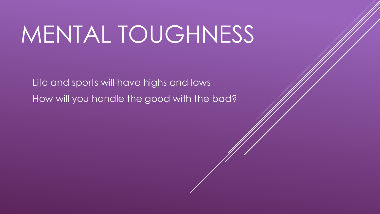# MENTAL TOUGHNESS

Life and sports will have highs and lows How will you handle the good with the bad?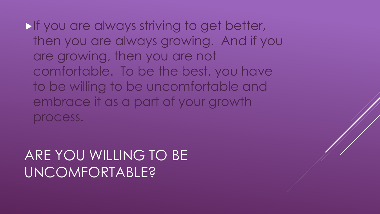**If you are always striving to get better,** then you are always growing. And if you are growing, then you are not comfortable. To be the best, you have to be willing to be uncomfortable and embrace it as a part of your growth process.

#### ARE YOU WILLING TO BE UNCOMFORTABLE?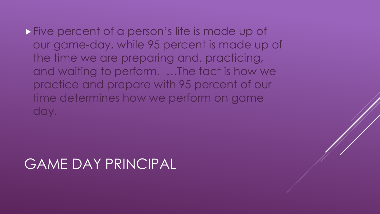**Five percent of a person's life is made up of** our game-day, while 95 percent is made up of the time we are preparing and, practicing, and waiting to perform. …The fact is how we practice and prepare with 95 percent of our time determines how we perform on game day.

#### GAME DAY PRINCIPAL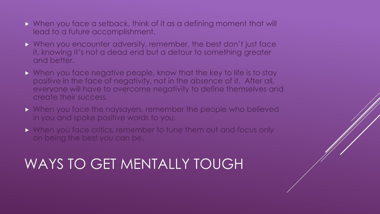- When you face a setback, think of it as a defining moment that will lead to a future accomplishment.
- When you encounter adversity, remember, the best don't just face it, knowing it's not a dead end but a detour to something greater and better.
- When you face negative people, know that the key to life is to stay positive in the face of negativity, not in the absence of it. After all, everyone will have to overcome negativity to define themselves and create their success.
- **Notakly When you face the naysayers, remember the people who believed** in you and spoke positive words to you.
- ▶ When you face critics, remember to tune them out and focus only on being the best you can be.

# WAYS TO GET MENTALLY TOUGH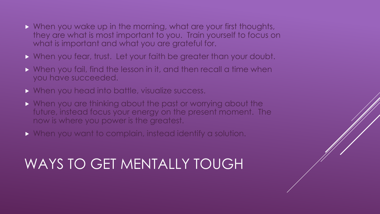- Notation wake up in the morning, what are your first thoughts, they are what is most important to you. Train yourself to focus on what is important and what you are grateful for.
- When you fear, trust. Let your faith be greater than your doubt.
- When you fail, find the lesson in it, and then recall a time when you have succeeded.
- Notative Montenger and into battle, visualize success.
- When you are thinking about the past or worrying about the future, instead focus your energy on the present moment. The now is where you power is the greatest.
- When you want to complain, instead identify a solution.

# WAYS TO GET MENTALLY TOUGH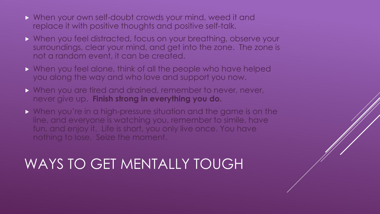- When your own self-doubt crowds your mind, weed it and replace it with positive thoughts and positive self-talk.
- When you feel distracted, focus on your breathing, observe your surroundings, clear your mind, and get into the zone. The zone is not a random event, it can be created.
- When you feel alone, think of all the people who have helped you along the way and who love and support you now.
- When you are tired and drained, remember to never, never, never give up. **Finish strong in everything you do.**
- When you're in a high-pressure situation and the game is on the line, and everyone is watching you, remember to simile, have fun, and enjoy it. Life is short, you only live once. You have nothing to lose. Seize the moment.

# WAYS TO GET MENTALLY TOUGH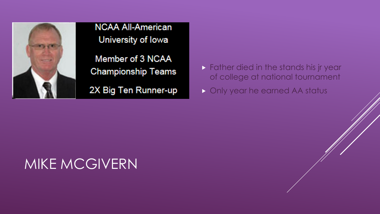

**NCAA All-American** University of Iowa Member of 3 NCAA **Championship Teams** 2X Big Ten Runner-up

**Father died in the stands his jr year** of college at national tournament

Only year he earned AA status

#### MIKE MCGIVERN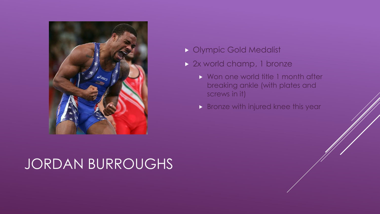

### JORDAN BURROUGHS

- Olympic Gold Medalist
- 2x world champ, 1 bronze
	- ▶ Won one world title 1 month after breaking ankle (with plates and screws in it)
	- **Bronze with injured knee this year**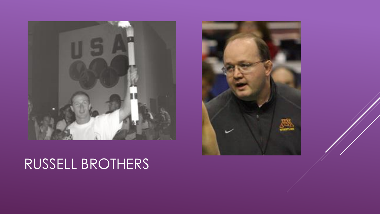

# RUSSELL BROTHERS